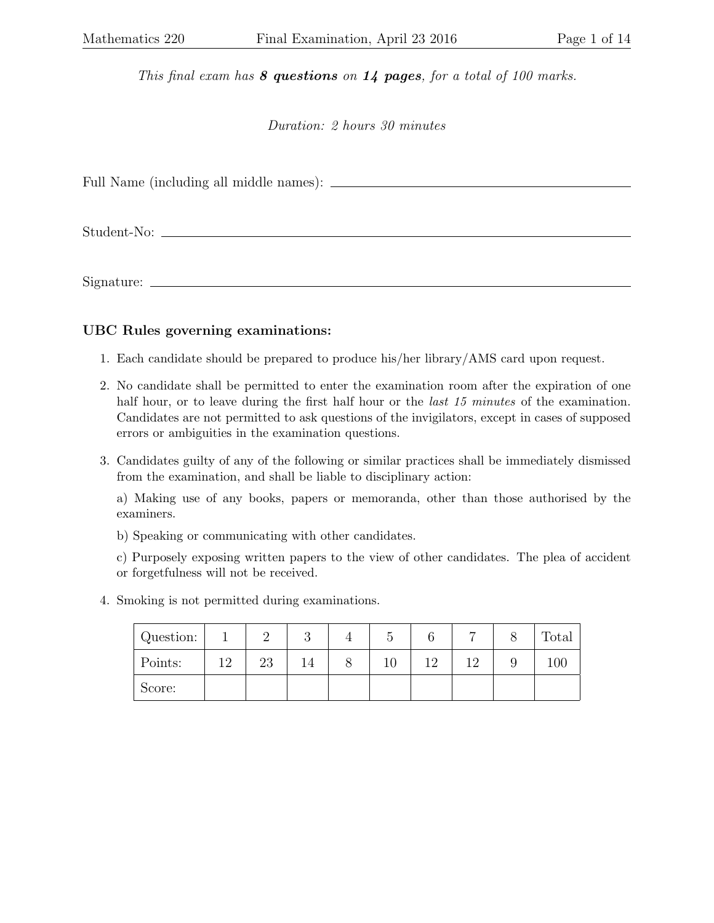This final exam has  $8$  questions on  $14$  pages, for a total of 100 marks.

Duration: 2 hours 30 minutes

Full Name (including all middle names):

Student-No:

Signature:

## UBC Rules governing examinations:

- 1. Each candidate should be prepared to produce his/her library/AMS card upon request.
- 2. No candidate shall be permitted to enter the examination room after the expiration of one half hour, or to leave during the first half hour or the *last 15 minutes* of the examination. Candidates are not permitted to ask questions of the invigilators, except in cases of supposed errors or ambiguities in the examination questions.
- 3. Candidates guilty of any of the following or similar practices shall be immediately dismissed from the examination, and shall be liable to disciplinary action:

a) Making use of any books, papers or memoranda, other than those authorised by the examiners.

b) Speaking or communicating with other candidates.

c) Purposely exposing written papers to the view of other candidates. The plea of accident or forgetfulness will not be received.

4. Smoking is not permitted during examinations.

| Question: |                |    | u  | Ð  |     |    |   | Total |
|-----------|----------------|----|----|----|-----|----|---|-------|
| Points:   | $19-19$<br>- 4 | 23 | 14 | 10 | 1 ດ | 10 | ັ | 100   |
| Score:    |                |    |    |    |     |    |   |       |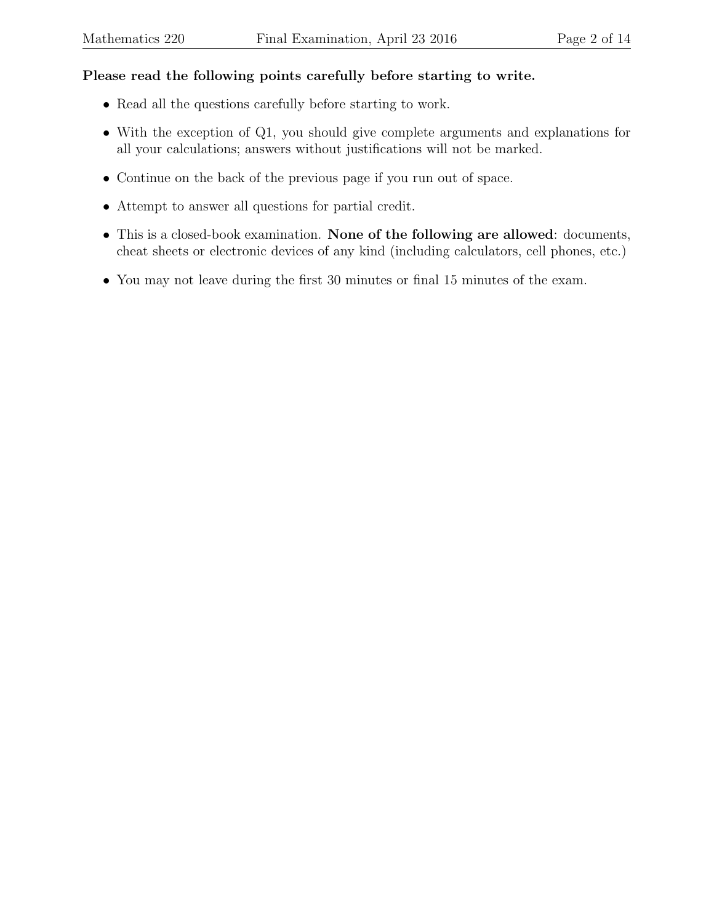## Please read the following points carefully before starting to write.

- Read all the questions carefully before starting to work.
- With the exception of Q1, you should give complete arguments and explanations for all your calculations; answers without justifications will not be marked.
- Continue on the back of the previous page if you run out of space.
- Attempt to answer all questions for partial credit.
- This is a closed-book examination. None of the following are allowed: documents, cheat sheets or electronic devices of any kind (including calculators, cell phones, etc.)
- You may not leave during the first 30 minutes or final 15 minutes of the exam.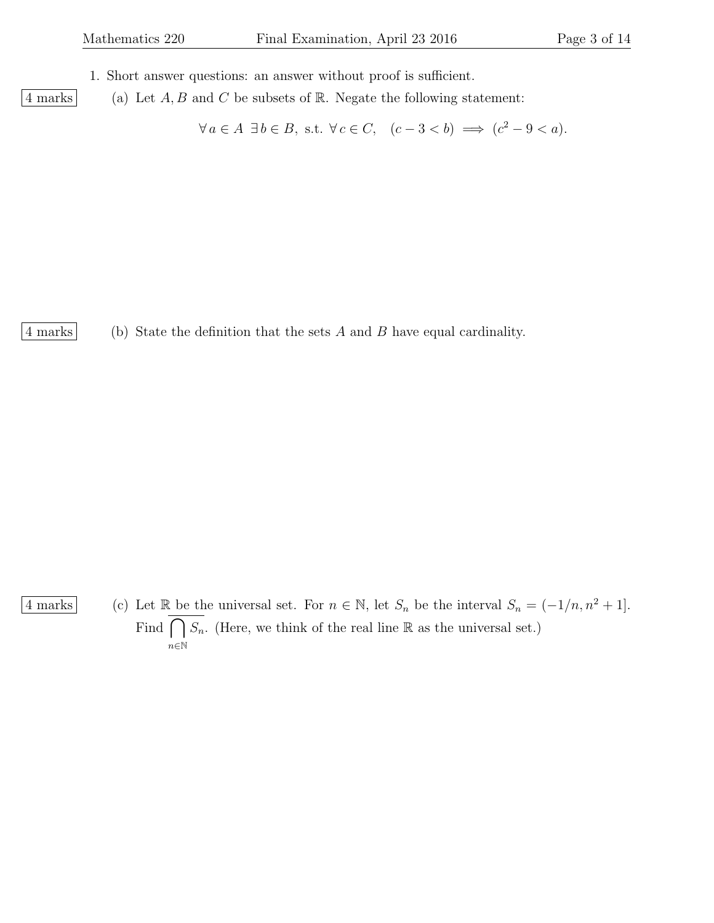- 1. Short answer questions: an answer without proof is sufficient.
- 4 marks (a) Let  $A, B$  and  $C$  be subsets of  $\mathbb R$ . Negate the following statement:

 $\forall a \in A \exists b \in B$ , s.t.  $\forall c \in C$ ,  $(c-3 < b) \implies (c^2 - 9 < a)$ .

4 marks (b) State the definition that the sets A and B have equal cardinality.

4 marks (c) Let R be the universal set. For  $n \in \mathbb{N}$ , let  $S_n$  be the interval  $S_n = (-1/n, n^2 + 1]$ . Find  $\bigcap$ n∈N  $S_n$ . (Here, we think of the real line  $\mathbb R$  as the universal set.)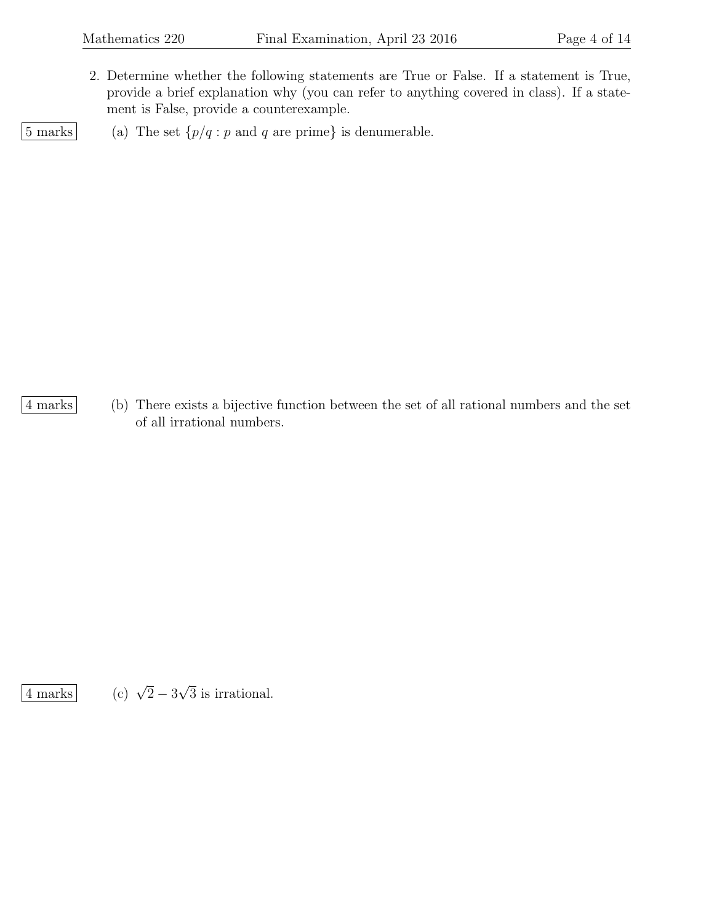2. Determine whether the following statements are True or False. If a statement is True, provide a brief explanation why (you can refer to anything covered in class). If a statement is False, provide a counterexample.

 $\boxed{5 \text{ marks}}$  (a) The set  $\{p/q : p \text{ and } q \text{ are prime}\}$  is denumerable.

4 marks (b) There exists a bijective function between the set of all rational numbers and the set of all irrational numbers.

 $\sqrt{4}$  marks

 $2 - 3$ √ 3 is irrational.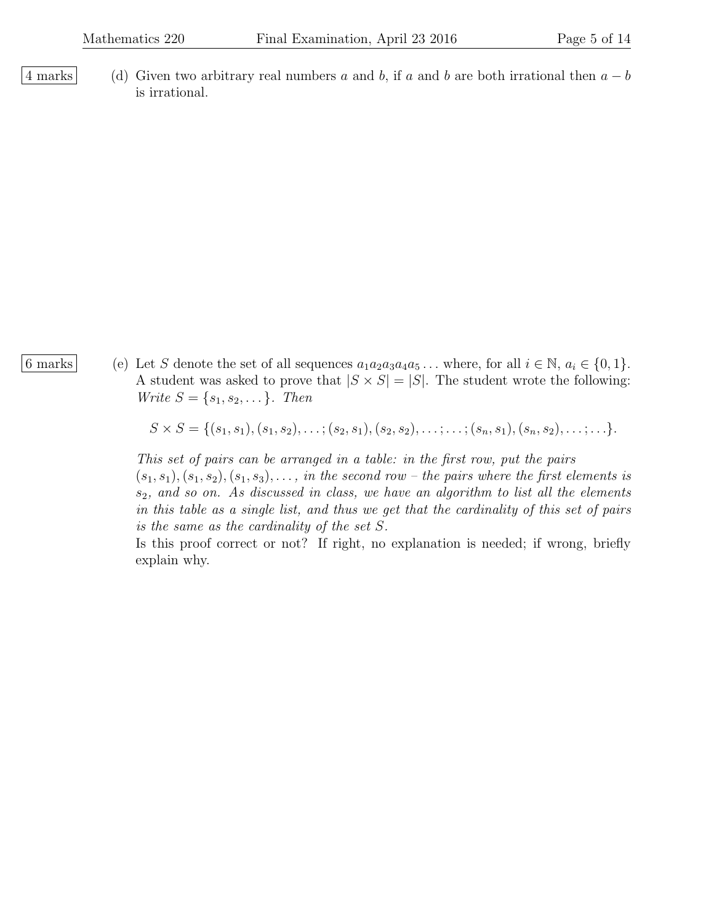- 
- 4 marks (d) Given two arbitrary real numbers a and b, if a and b are both irrational then  $a b$ is irrational.

6 marks (e) Let S denote the set of all sequences  $a_1a_2a_3a_4a_5...$  where, for all  $i \in \mathbb{N}, a_i \in \{0, 1\}.$ A student was asked to prove that  $|S \times S| = |S|$ . The student wrote the following: *Write*  $S = \{s_1, s_2, \dots\}$ . *Then* 

$$
S \times S = \{ (s_1, s_1), (s_1, s_2), \ldots; (s_2, s_1), (s_2, s_2), \ldots; \ldots; (s_n, s_1), (s_n, s_2), \ldots; \ldots \}.
$$

This set of pairs can be arranged in a table: in the first row, put the pairs  $(s_1, s_1), (s_1, s_2), (s_1, s_3), \ldots$ , in the second row – the pairs where the first elements is  $s_2$ , and so on. As discussed in class, we have an algorithm to list all the elements in this table as a single list, and thus we get that the cardinality of this set of pairs is the same as the cardinality of the set S.

Is this proof correct or not? If right, no explanation is needed; if wrong, briefly explain why.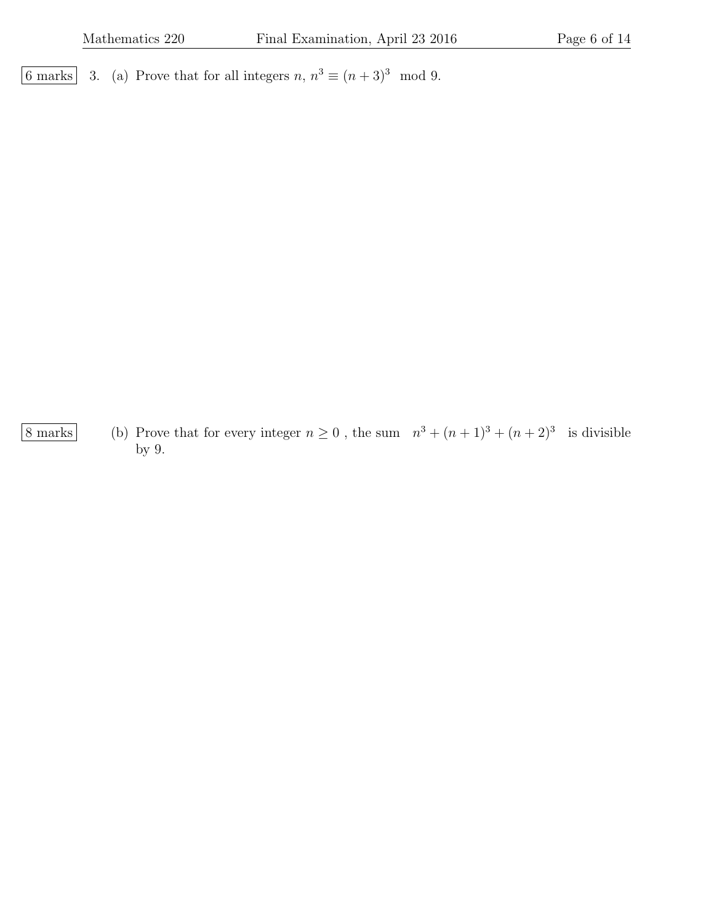6 marks 3. (a) Prove that for all integers  $n, n^3 \equiv (n+3)^3 \mod 9$ .

8 marks (b) Prove that for every integer  $n \geq 0$ , the sum  $n^3 + (n+1)^3 + (n+2)^3$  is divisible by 9.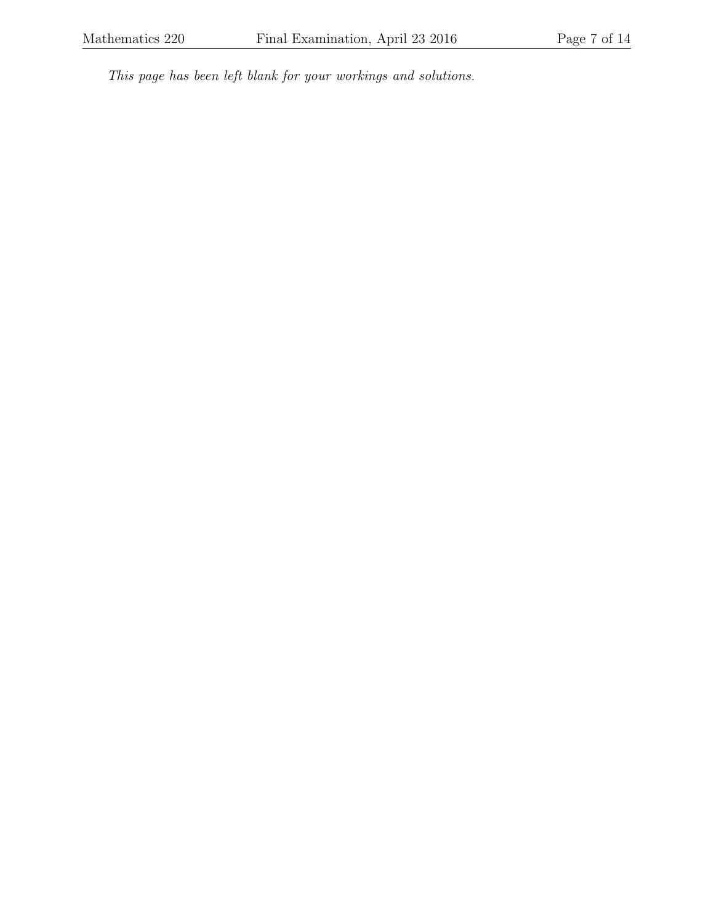This page has been left blank for your workings and solutions.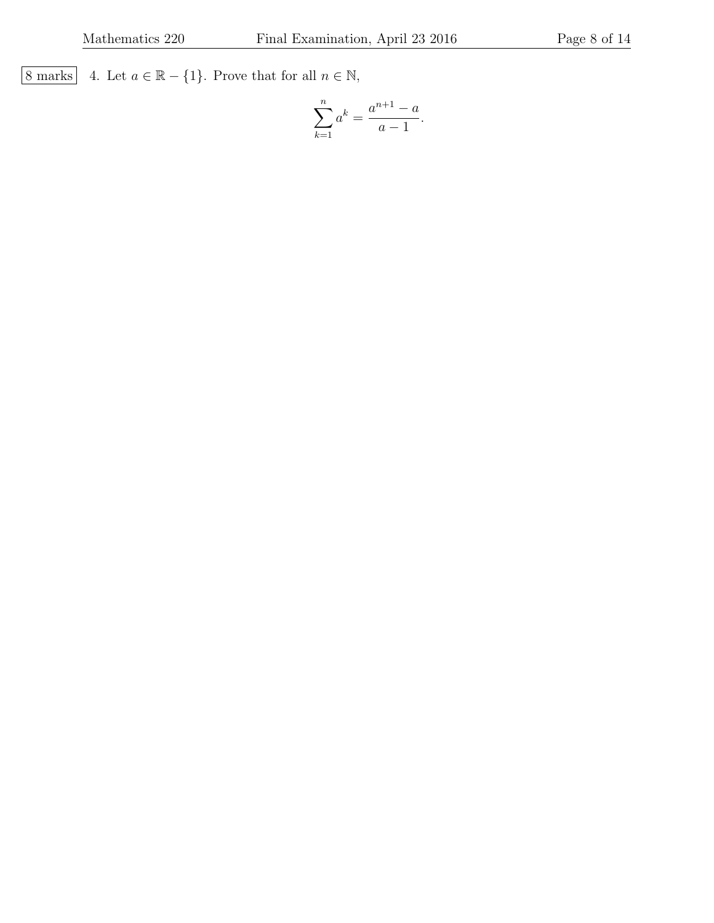8 marks 4. Let  $a \in \mathbb{R} - \{1\}$ . Prove that for all  $n \in \mathbb{N}$ ,

$$
\sum_{k=1}^{n} a^{k} = \frac{a^{n+1} - a}{a - 1}.
$$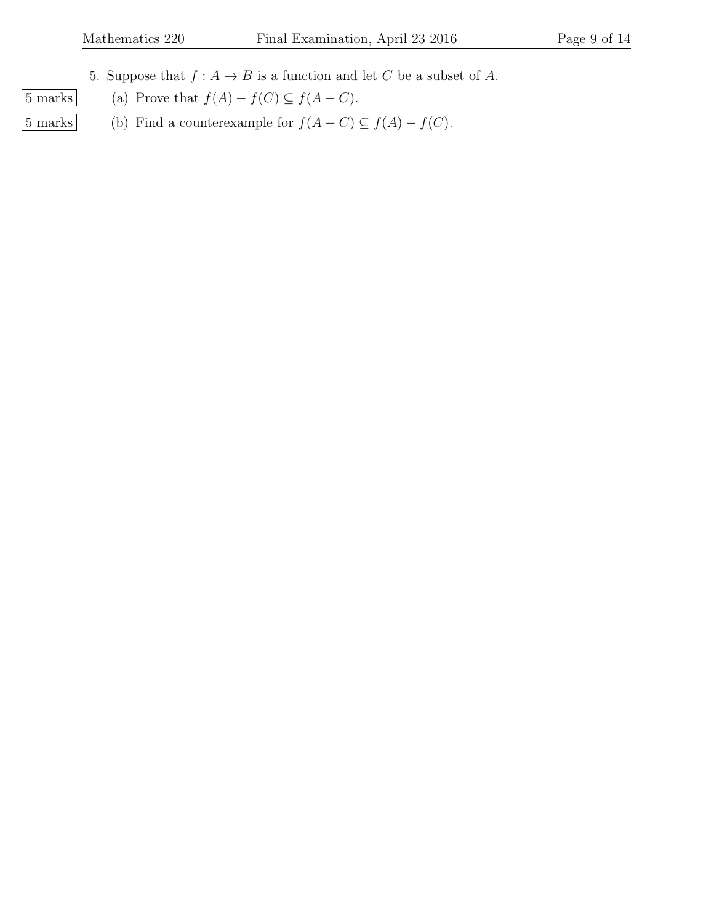5. Suppose that  $f : A \to B$  is a function and let C be a subset of A.

- $\boxed{5 \text{ marks}}$  (a) Prove that  $f(A) f(C) \subseteq f(A C)$ .
- 5 marks (b) Find a counterexample for  $f(A C) \subseteq f(A) f(C)$ .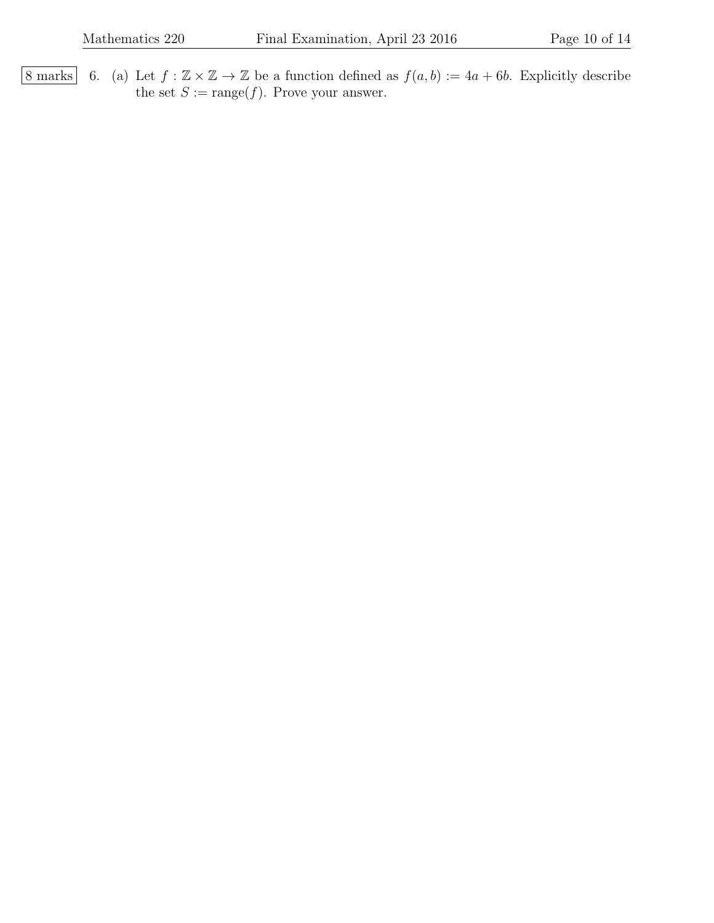8 marks 6. (a) Let  $f : \mathbb{Z} \times \mathbb{Z} \to \mathbb{Z}$  be a function defined as  $f(a, b) := 4a + 6b$ . Explicitly describe the set  $S := \text{range}(f)$ . Prove your answer.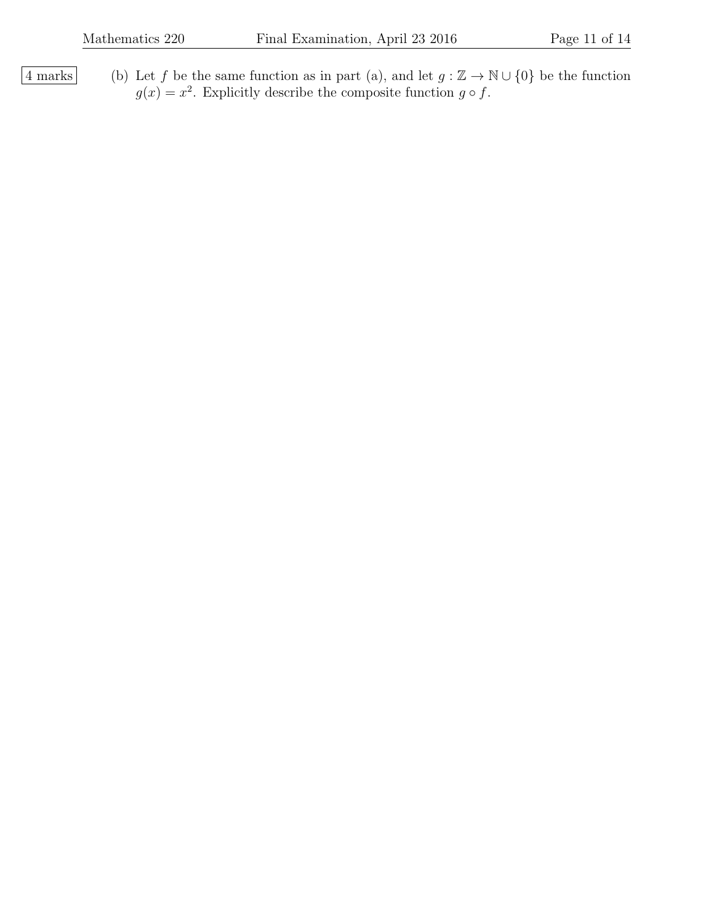$\overline{4 \text{ marks}}$  (b) Let f be the same function as in part (a), and let  $g : \mathbb{Z} \to \mathbb{N} \cup \{0\}$  be the function  $g(x) = x^2$ . Explicitly describe the composite function  $g \circ f$ .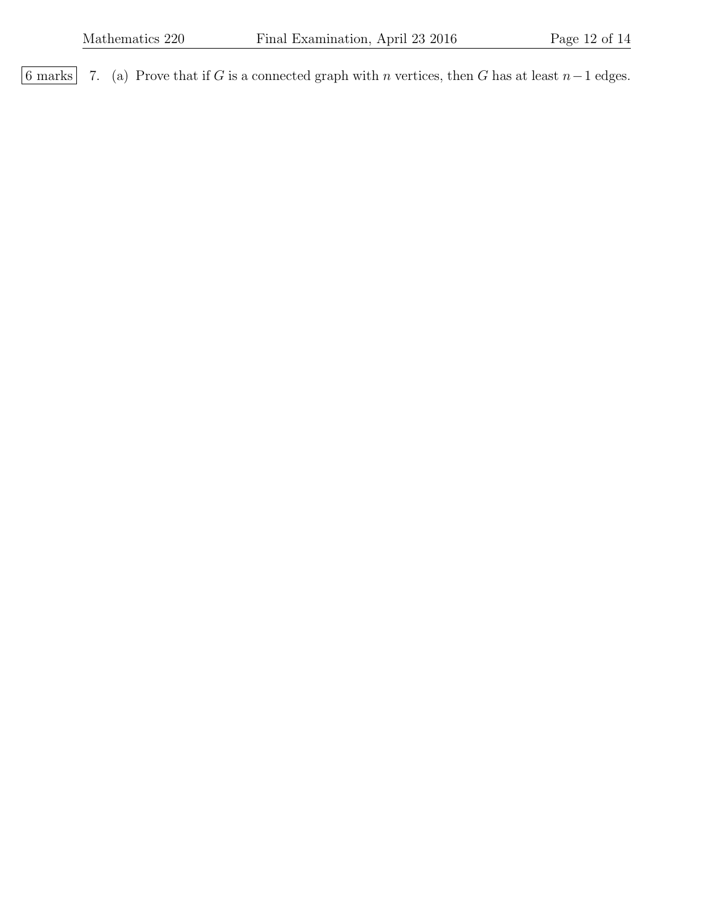6 marks 7. (a) Prove that if G is a connected graph with n vertices, then G has at least  $n-1$  edges.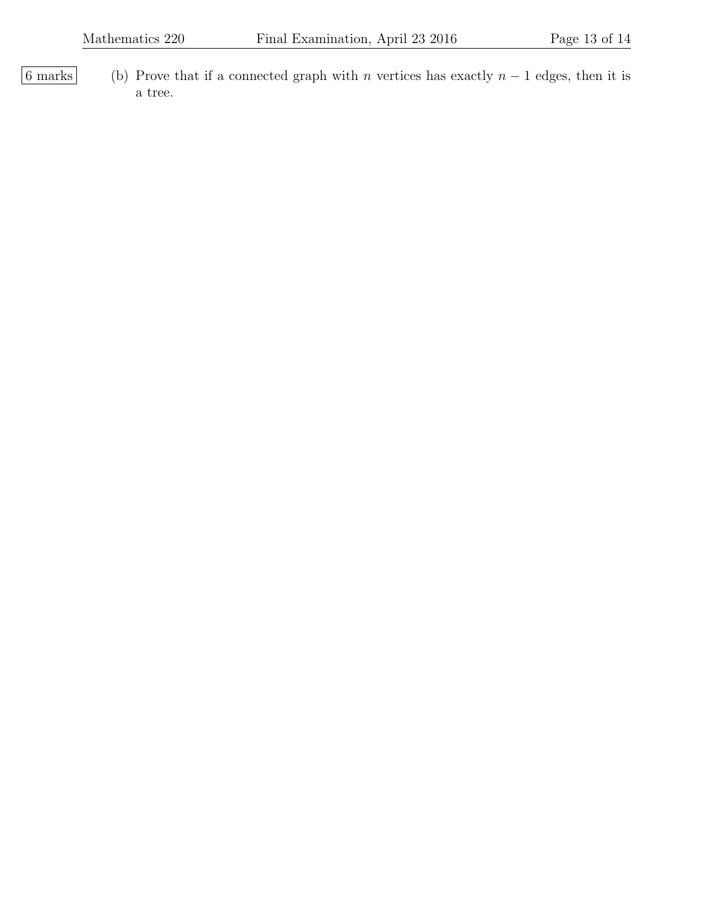6 marks (b) Prove that if a connected graph with n vertices has exactly  $n - 1$  edges, then it is a tree.